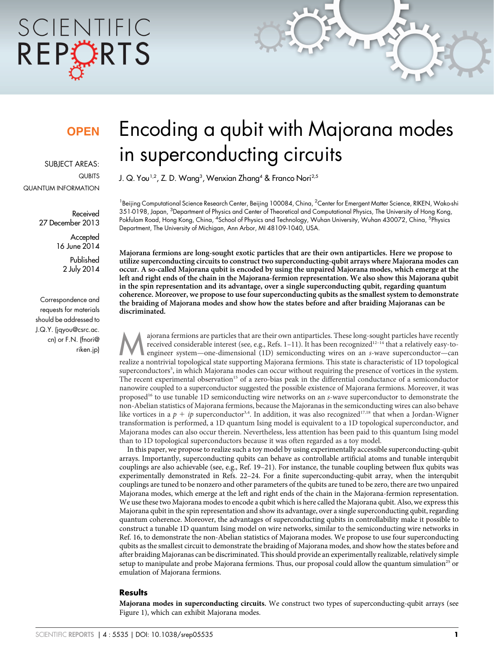# SCIENTIFIC REPCRTS

### **OPEN**

SUBJECT AREAS: **QUBITS** QUANTUM INFORMATION

> Received 27 December 2013

> > **Accepted** 16 June 2014

> > > Published 2 July 2014

Correspondence and requests for materials should be addressed to J.Q.Y. (jqyou@csrc.ac. cn) or F.N. (fnori@ riken.jp)

## Encoding a qubit with Majorana modes in superconducting circuits

J. Q. You<sup>1,2</sup>, Z. D. Wang<sup>3</sup>, Wenxian Zhang<sup>4</sup> & Franco Nori<sup>2,5</sup>

<sup>1</sup>Beijing Computational Science Research Center, Beijing 100084, China, <sup>2</sup>Center for Emergent Matter Science, RIKEN, Wako-shi 351-0198, Japan, <sup>3</sup>Department of Physics and Center of Theoretical and Computational Physics, The University of Hong Kong, Pokfulam Road, Hong Kong, China, <sup>4</sup>School of Physics and Technology, Wuhan University, Wuhan 430072, China, <sup>5</sup>Physics Department, The University of Michigan, Ann Arbor, MI 48109-1040, USA.

Majorana fermions are long-sought exotic particles that are their own antiparticles. Here we propose to utilize superconducting circuits to construct two superconducting-qubit arrays where Majorana modes can occur. A so-called Majorana qubit is encoded by using the unpaired Majorana modes, which emerge at the left and right ends of the chain in the Majorana-fermion representation. We also show this Majorana qubit in the spin representation and its advantage, over a single superconducting qubit, regarding quantum coherence. Moreover, we propose to use four superconducting qubits as the smallest system to demonstrate the braiding of Majorana modes and show how the states before and after braiding Majoranas can be discriminated.

ajorana fermions are particles that are their own antiparticles. These long-sought particles have recently<br>received considerable interest (see, e.g., Refs. 1–11). It has been recognized<sup>12-14</sup> that a relatively easy-to-<br>en received considerable interest (see, e.g., Refs. 1–11). It has been recognized<sup>12–14</sup> that a relatively easy-torealize a nontrivial topological state supporting Majorana fermions. This state is characteristic of 1D topological superconductors<sup>5</sup>, in which Majorana modes can occur without requiring the presence of vortices in the system. The recent experimental observation<sup>15</sup> of a zero-bias peak in the differential conductance of a semiconductor nanowire coupled to a superconductor suggested the possible existence of Majorana fermions. Moreover, it was proposed<sup>16</sup> to use tunable 1D semiconducting wire networks on an s-wave superconductor to demonstrate the non-Abelian statistics of Majorana fermions, because the Majoranas in the semiconducting wires can also behave like vortices in a  $p + ip$  superconductor<sup>3,4</sup>. In addition, it was also recognized<sup>17,18</sup> that when a Jordan-Wigner transformation is performed, a 1D quantum Ising model is equivalent to a 1D topological superconductor, and Majorana modes can also occur therein. Nevertheless, less attention has been paid to this quantum Ising model than to 1D topological superconductors because it was often regarded as a toy model.

In this paper, we propose to realize such a toy model by using experimentally accessible superconducting-qubit arrays. Importantly, superconducting qubits can behave as controllable artificial atoms and tunable interqubit couplings are also achievable (see, e.g., Ref. 19–21). For instance, the tunable coupling between flux qubits was experimentally demonstrated in Refs. 22–24. For a finite superconducting-qubit array, when the interqubit couplings are tuned to be nonzero and other parameters of the qubits are tuned to be zero, there are two unpaired Majorana modes, which emerge at the left and right ends of the chain in the Majorana-fermion representation. We use these two Majorana modes to encode a qubit which is here called the Majorana qubit. Also, we express this Majorana qubit in the spin representation and show its advantage, over a single superconducting qubit, regarding quantum coherence. Moreover, the advantages of superconducting qubits in controllability make it possible to construct a tunable 1D quantum Ising model on wire networks, similar to the semiconducting wire networks in Ref. 16, to demonstrate the non-Abelian statistics of Majorana modes. We propose to use four superconducting qubits as the smallest circuit to demonstrate the braiding of Majorana modes, and show how the states before and after braiding Majoranas can be discriminated. This should provide an experimentally realizable, relatively simple setup to manipulate and probe Majorana fermions. Thus, our proposal could allow the quantum simulation<sup>25</sup> or emulation of Majorana fermions.

#### **Results**

Majorana modes in superconducting circuits. We construct two types of superconducting-qubit arrays (see Figure 1), which can exhibit Majorana modes.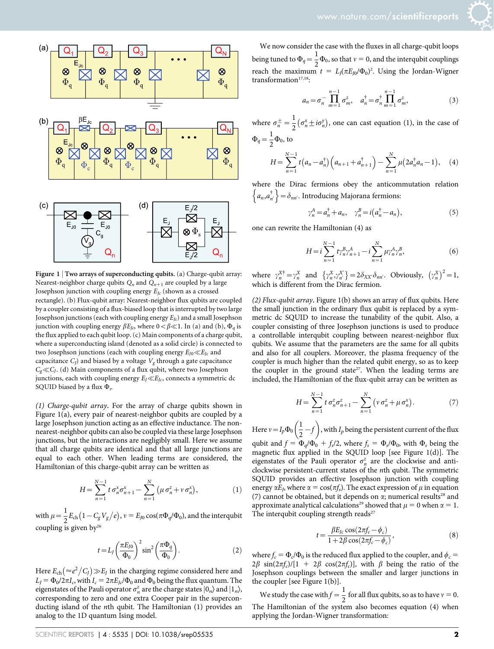



Figure 1 | Two arrays of superconducting qubits. (a) Charge-qubit array: Nearest-neighbor charge qubits  $Q_n$  and  $Q_{n+1}$  are coupled by a large Josephson junction with coupling energy  $E_{Jc}$  (shown as a crossed rectangle). (b) Flux-qubit array: Nearest-neighbor flux qubits are coupled by a coupler consisting of a flux-biased loop that is interrupted by two large Josephson junctions (each with coupling energy  $E_{Ic}$ ) and a small Josephson junction with coupling energy  $\beta E_{I_{\mathcal{O}}}$  where  $0<\beta\ll1$ . In (a) and (b),  $\Phi_a$  is the flux applied to each qubit loop. (c) Main components of a charge qubit, where a superconducting island (denoted as a solid circle) is connected to two Josephson junctions (each with coupling energy  $E_{I0} \ll E_{Ic}$  and capacitance  $C_l$ ) and biased by a voltage  $V_{\sigma}$  through a gate capacitance  $C_{g} \ll C_{I}$ . (d) Main components of a flux qubit, where two Josephson junctions, each with coupling energy  $E_I \ll E_{Ic}$ , connects a symmetric dc SQUID biased by a flux  $\Phi_s$ .

(1) Charge-qubit array. For the array of charge qubits shown in Figure 1(a), every pair of nearest-neighbor qubits are coupled by a large Josephson junction acting as an effective inductance. The nonnearest-neighbor qubits can also be coupled via these large Josephson junctions, but the interactions are negligibly small. Here we assume that all charge qubits are identical and that all large junctions are equal to each other. When leading terms are considered, the Hamiltonian of this charge-qubit array can be written as

$$
H = \sum_{n=1}^{N-1} t \sigma_n^x \sigma_{n+1}^x - \sum_{n=1}^N (\mu \sigma_n^z + v \sigma_n^x), \qquad (1)
$$

with  $\mu = \frac{1}{2} E_{ch} \left( 1 - C_g V_g / e \right)$ ,  $v = E_{J0} \cos(\pi \Phi_q / \Phi_0)$ , and the interqubit coupling is given  $by<sup>26</sup>$ 

$$
t = L_J \left(\frac{\pi E_{J0}}{\Phi_0}\right)^2 \sin^2 \left(\frac{\pi \Phi_q}{\Phi_0}\right). \tag{2}
$$

Here  $E_{\text{ch}} \big(\text{=} e^2 \big/ C_{\text{J}} \big) \text{>} E_{\text{J}}$  in the charging regime considered here and  $L_J = \Phi_0/2\pi I_c$ , with  $I_c = 2\pi E_{Jc}/\Phi_0$  and  $\Phi_0$  being the flux quantum. The eigenstates of the Pauli operator  $\sigma_n^z$  are the charge states  $|0_n\rangle$  and  $|1_n\rangle$ , corresponding to zero and one extra Cooper pair in the superconducting island of the nth qubit. The Hamiltonian (1) provides an analog to the 1D quantum Ising model.

We now consider the case with the fluxes in all charge-qubit loops being tuned to  $\Phi_q = \frac{1}{2} \Phi_0$ , so that  $v = 0$ , and the interqubit couplings reach the maximum  $t = L_J(\pi E_{J0}/\Phi_0)^2$ . Using the Jordan-Wigner transformation $17,18$ :

$$
a_n = \sigma_n^- \prod_{m=1}^{n-1} \sigma_m^z, \quad a_n^{\dagger} = \sigma_n^{\dagger} \prod_{m=1}^{n-1} \sigma_m^z,
$$
 (3)

where  $\sigma_n^{\pm} = \frac{1}{2} (\sigma_n^x \pm i \sigma_n^y)$ , one can cast equation (1), in the case of  $\Phi_q = \frac{1}{2} \Phi_0$ , to

$$
H = \sum_{n=1}^{N-1} t\big(a_n - a_n^{\dagger}\big)\big(a_{n+1} + a_{n+1}^{\dagger}\big) - \sum_{n=1}^{N} \mu\big(2a_n^{\dagger}a_n - 1\big), \quad (4)
$$

where the Dirac fermions obey the anticommutation relation And  $\{a_n, a_{n'}^{\dagger}\} = \delta_{nn'}$ . Introducing Majorana fermions:

$$
\gamma_n^A = a_n^\dagger + a_n, \quad \gamma_n^B = i(a_n^\dagger - a_n), \tag{5}
$$

one can rewrite the Hamiltonian (4) as

$$
H = i \sum_{n=1}^{N-1} t \gamma_n^B \gamma_{n+1}^A - i \sum_{n=1}^N \mu \gamma_n^A \gamma_n^B,
$$
 (6)

where  $\gamma_n^{X^{\dagger}} = \gamma_n^X$  and  $\{\gamma_n^X, \gamma_{n'}^X\} = 2\delta_{XX'}\delta_{nn'}$ . Obviously,  $(\gamma_n^X)^2 = 1$ , which is different from the Dirac fermion.

(2) Flux-qubit array. Figure 1(b) shows an array of flux qubits. Here the small junction in the ordinary flux qubit is replaced by a symmetric dc SQUID to increase the tunability of the qubit. Also, a coupler consisting of three Josephson junctions is used to produce a controllable interqubit coupling between nearest-neighbor flux qubits. We assume that the parameters are the same for all qubits and also for all couplers. Moreover, the plasma frequency of the coupler is much higher than the related qubit energy, so as to keep the coupler in the ground state<sup>27</sup>. When the leading terms are included, the Hamiltonian of the flux-qubit array can be written as

$$
H = \sum_{n=1}^{N-1} t \sigma_n^z \sigma_{n+1}^z - \sum_{n=1}^N \left( v \sigma_n^z + \mu \sigma_n^x \right).
$$
 (7)

Here  $v = I_p \Phi_0 \left( \frac{1}{2} \right)$  $\frac{1}{2} - f$  $(1)$ , with  $I_p$  being the persistent current of the flux

qubit and  $f = \Phi_q/\Phi_0 + f_s/2$ , where  $f_s = \Phi_s/\Phi_0$ , with  $\Phi_s$  being the magnetic flux applied in the SQUID loop [see Figure 1(d)]. The eigenstates of the Pauli operator  $\sigma_n^z$  are the clockwise and anticlockwise persistent-current states of the nth qubit. The symmetric SQUID provides an effective Josephson junction with coupling energy  $\alpha E_J$ , where  $\alpha = \cos(\pi f_S)$ . The exact expression of  $\mu$  in equation (7) cannot be obtained, but it depends on  $\alpha$ ; numerical results<sup>28</sup> and approximate analytical calculations<sup>29</sup> showed that  $\mu = 0$  when  $\alpha = 1$ . The interqubit coupling strength reads $27$ 

$$
t = \frac{\beta E_{Jc} \cos(2\pi f_c - \phi_c)}{1 + 2\beta \cos(2\pi f_c - \phi_c)},
$$
\n(8)

where  $f_c = \Phi_c/\Phi_0$  is the reduced flux applied to the coupler, and  $\phi_c =$  $2\beta \sin(2\pi f_c)/[1 + 2\beta \cos(2\pi f_c)]$ , with  $\beta$  being the ratio of the Josephson couplings between the smaller and larger junctions in the coupler [see Figure 1(b)].

We study the case with  $f = \frac{1}{2}$  for all flux qubits, so as to have  $v = 0$ . The Hamiltonian of the system also becomes equation (4) when applying the Jordan-Wigner transformation: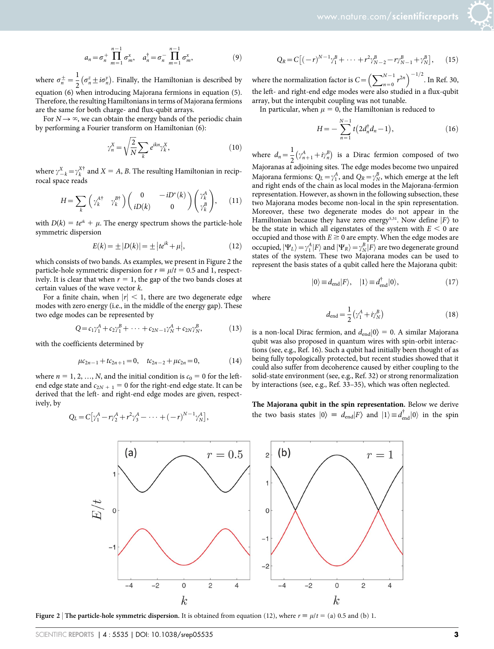$$
a_n = \sigma_n^+ \prod_{m=1}^{n-1} \sigma_m^x, \quad a_n^{\dagger} = \sigma_n^- \prod_{m=1}^{n-1} \sigma_m^x,\tag{9}
$$

where  $\sigma_n^{\pm} = \frac{1}{2} (\sigma_n^z \pm i \sigma_n^y)$ . Finally, the Hamiltonian is described by equation (6) when introducing Majorana fermions in equation (5). Therefore, the resulting Hamiltonians in terms of Majorana fermions are the same for both charge- and flux-qubit arrays.

For  $N \rightarrow \infty$ , we can obtain the energy bands of the periodic chain by performing a Fourier transform on Hamiltonian (6):

$$
\gamma_n^X = \sqrt{\frac{2}{N}} \sum_k e^{ikn} \gamma_k^X,\tag{10}
$$

where  $\gamma_{-k}^{X^+} = \gamma_k^{X^+}$  and  $X = A$ , B. The resulting Hamiltonian in reciprocal space reads

$$
H = \sum_{k} \begin{pmatrix} \gamma_k^{A\dagger} & \gamma_k^{B\dagger} \end{pmatrix} \begin{pmatrix} 0 & -iD^*(k) \\ iD(k) & 0 \end{pmatrix} \begin{pmatrix} \gamma_k^A \\ \gamma_k^B \end{pmatrix}, \quad (11)
$$

with  $D(k) = te^{ik} + \mu$ . The energy spectrum shows the particle-hole symmetric dispersion

$$
E(k) = \pm |D(k)| = \pm |te^{ik} + \mu|,
$$
\n(12)

which consists of two bands. As examples, we present in Figure 2 the particle-hole symmetric dispersion for  $r \equiv \mu/t = 0.5$  and 1, respectively. It is clear that when  $r = 1$ , the gap of the two bands closes at certain values of the wave vector k.

For a finite chain, when  $|r| < 1$ , there are two degenerate edge modes with zero energy (i.e., in the middle of the energy gap). These two edge modes can be represented by

$$
Q = c_1 \gamma_1^A + c_2 \gamma_1^B + \dots + c_{2N-1} \gamma_N^A + c_{2N} \gamma_N^B, \qquad (13)
$$

with the coefficients determined by

$$
\mu c_{2n-1} + t c_{2n+1} = 0, \quad t c_{2n-2} + \mu c_{2n} = 0,
$$
 (14)

where  $n = 1, 2, ..., N$ , and the initial condition is  $c_0 = 0$  for the leftend edge state and  $c_{2N + 1} = 0$  for the right-end edge state. It can be derived that the left- and right-end edge modes are given, respectively, by

$$
Q_L = C[\gamma_1^A - r\gamma_2^A + r^2\gamma_3^A - \cdots + (-r)^{N-1}\gamma_N^A],
$$

$$
Q_R = C\left[(-r)^{N-1}\gamma_1^B + \dots + r^2\gamma_{N-2}^B - r\gamma_{N-1}^B + \gamma_N^B\right],\qquad(15)
$$

where the normalization factor is  $C = \left(\sum_{n=0}^{N-1} r\right)$  $\left(\sum_{n=0}^{N-1} r^{2n}\right)^{-1/2}$ . In Ref. 30, the left- and right-end edge modes were also studied in a flux-qubit array, but the interqubit coupling was not tunable.

In particular, when  $\mu = 0$ , the Hamiltonian is reduced to

$$
H = -\sum_{n=1}^{N-1} t \left( 2d_n^{\dagger} d_n - 1 \right), \tag{16}
$$

where  $d_n = \frac{1}{2} \left( \gamma_{n+1}^A + i \gamma_n^B \right)$  is a Dirac fermion composed of two Majoranas at adjoining sites. The edge modes become two unpaired Majorana fermions:  $Q_L = \gamma_1^A$ , and  $Q_R = \gamma_N^B$ , which emerge at the left and right ends of the chain as local modes in the Majorana-fermion representation. However, as shown in the following subsection, these two Majorana modes become non-local in the spin representation. Moreover, these two degenerate modes do not appear in the Hamiltonian because they have zero energy<sup>5,31</sup>. Now define  $|F\rangle$  to be the state in which all eigenstates of the system with  $E < 0$  are occupied and those with  $E \ge 0$  are empty. When the edge modes are occupied,  $|\Psi_L\rangle = \gamma_1^A |F\rangle$  and  $|\Psi_R\rangle = \gamma_N^B |F\rangle$  are two degenerate ground states of the system. These two Majorana modes can be used to represent the basis states of a qubit called here the Majorana qubit:

$$
|0\rangle \equiv d_{\text{end}}|F\rangle, \quad |1\rangle \equiv d_{\text{end}}^{\dagger}|0\rangle, \tag{17}
$$

where

$$
d_{\text{end}} = \frac{1}{2} \left( \gamma_1^A + i \gamma_N^B \right) \tag{18}
$$

is a non-local Dirac fermion, and  $d_{\text{end}}|0\rangle = 0$ . A similar Majorana qubit was also proposed in quantum wires with spin-orbit interactions (see, e.g., Ref. 16). Such a qubit had initially been thought of as being fully topologically protected, but recent studies showed that it could also suffer from decoherence caused by either coupling to the solid-state environment (see, e.g., Ref. 32) or strong renormalization by interactions (see, e.g., Ref. 33–35), which was often neglected.

The Majorana qubit in the spin representation. Below we derive the two basis states  $|0\rangle = d_{\text{end}}|F\rangle$  and  $|1\rangle \equiv d_{\text{end}}^{\dagger} |0\rangle$  in the spin



Figure 2 | The particle-hole symmetric dispersion. It is obtained from equation (12), where  $r \equiv \mu/t = (a) 0.5$  and (b) 1.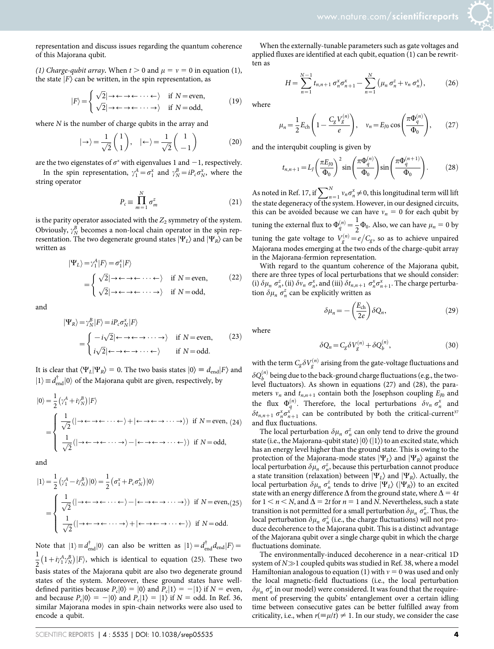representation and discuss issues regarding the quantum coherence of this Majorana qubit.

(1) Charge-qubit array. When  $t > 0$  and  $\mu = v = 0$  in equation (1), the state  $|F\rangle$  can be written, in the spin representation, as

$$
|F\rangle = \begin{cases} \sqrt{2}|\rightarrow \leftarrow \rightarrow \leftarrow \cdots \leftarrow \rangle & \text{if } N = \text{even}, \\ \sqrt{2}|\rightarrow \leftarrow \rightarrow \leftarrow \cdots \rightarrow \rangle & \text{if } N = \text{odd}, \end{cases} (19)
$$

where  $N$  is the number of charge qubits in the array and

$$
|\rightarrow\rangle = \frac{1}{\sqrt{2}} \begin{pmatrix} 1 \\ 1 \end{pmatrix}, \quad | \leftarrow \rangle = \frac{1}{\sqrt{2}} \begin{pmatrix} 1 \\ -1 \end{pmatrix} \tag{20}
$$

are the two eigenstates of  $\sigma^x$  with eigenvalues 1 and  $-1$ , respectively.

In the spin representation,  $\gamma_1^A = \sigma_1^x$  and  $\gamma_N^B = iP_c \sigma_N^x$ , where the string operator

$$
P_c \equiv \prod_{m=1}^{N} \sigma_m^z \tag{21}
$$

is the parity operator associated with the  $Z_2$  symmetry of the system. Obviously,  $\gamma_N^B$  becomes a non-local chain operator in the spin representation. The two degenerate ground states  $|\Psi_L\rangle$  and  $|\Psi_R\rangle$  can be written as

$$
|\Psi_L\rangle = \gamma_1^A |F\rangle = \sigma_1^x |F\rangle
$$
  
= 
$$
\begin{cases} \sqrt{2} | \rightarrow \leftarrow \rightarrow \leftarrow \cdots \leftarrow \rangle & \text{if } N = \text{even}, \\ \sqrt{2} | \rightarrow \leftarrow \rightarrow \leftarrow \cdots \rightarrow \rangle & \text{if } N = \text{odd}, \end{cases}
$$
 (22)

and

$$
|\Psi_R\rangle = \gamma_N^B |F\rangle = i P_c \sigma_N^x |F\rangle
$$
  
= 
$$
\begin{cases} -i\sqrt{2} | \leftarrow \rightarrow \leftarrow \rightarrow \cdots \rightarrow \rangle & \text{if } N = \text{even}, \\ i\sqrt{2} | \leftarrow \rightarrow \leftarrow \rightarrow \cdots \leftarrow \rangle & \text{if } N = \text{odd}. \end{cases}
$$
 (23)

It is clear that  $\langle \Psi_L | \Psi_R \rangle = 0$ . The two basis states  $|0\rangle \equiv d_{\text{end}}|F\rangle$  and  $|1\rangle \equiv d_{\text{end}}^{\dagger} |0\rangle$  of the Majorana qubit are given, respectively, by

$$
|0\rangle = \frac{1}{2} \left( \gamma_1^A + i \gamma_N^B \right) |F\rangle
$$
  
= 
$$
\begin{cases} \frac{1}{\sqrt{2}} (|\rightarrow \leftarrow \rightarrow \leftarrow \cdots \leftarrow \rangle + |\leftarrow \rightarrow \leftarrow \rightarrow \cdots \rightarrow \rangle) & \text{if } N = \text{even}, (24) \\ \frac{1}{\sqrt{2}} (|\rightarrow \leftarrow \rightarrow \leftarrow \cdots \rightarrow \rangle - |\leftarrow \rightarrow \leftarrow \rightarrow \cdots \leftarrow \rangle) & \text{if } N = \text{odd}, \end{cases}
$$

and

$$
|1\rangle = \frac{1}{2} \left( \gamma_1^A - i \gamma_N^B \right) |0\rangle = \frac{1}{2} \left( \sigma_1^x + P_c \sigma_N^x \right) |0\rangle
$$
  
= 
$$
\begin{cases} \frac{1}{\sqrt{2}} (|\rightarrow \leftarrow \rightarrow \leftarrow \cdots \leftarrow \rangle - | \leftarrow \rightarrow \leftarrow \rightarrow \cdots \rightarrow \rangle) & \text{if } N = \text{even}, (25) \\ \frac{1}{\sqrt{2}} (|\rightarrow \leftarrow \rightarrow \leftarrow \cdots \rightarrow \rangle + | \leftarrow \rightarrow \leftarrow \rightarrow \cdots \leftarrow \rangle) & \text{if } N = \text{odd}. \end{cases}
$$

Note that  $|1\rangle \equiv d_{\text{end}}^{\dagger} |0\rangle$  can also be written as  $|1\rangle = d_{\text{end}}^{\dagger} d_{\text{end}} |F\rangle =$ 1  $\frac{1}{2}(1+i\gamma_1^A\gamma_N^B)|F\rangle$ , which is identical to equation (25). These two basis states of the Majorana qubit are also two degenerate ground states of the system. Moreover, these ground states have welldefined parities because  $P_c|0\rangle = |0\rangle$  and  $P_c|1\rangle = -|1\rangle$  if  $N =$  even, and because  $P_c|0\rangle = -|0\rangle$  and  $P_c|1\rangle = |1\rangle$  if  $N =$  odd. In Ref. 36, similar Majorana modes in spin-chain networks were also used to encode a qubit.

When the externally-tunable parameters such as gate voltages and applied fluxes are identified at each qubit, equation (1) can be rewritten as

$$
H = \sum_{n=1}^{N-1} t_{n,n+1} \sigma_n^x \sigma_{n+1}^x - \sum_{n=1}^N \left( \mu_n \sigma_n^z + v_n \sigma_n^x \right), \tag{26}
$$

where

$$
\mu_n = \frac{1}{2} E_{\rm ch} \left( 1 - \frac{C_g V_g^{(n)}}{e} \right), \quad v_n = E_{J0} \cos \left( \frac{\pi \Phi_q^{(n)}}{\Phi_0} \right), \tag{27}
$$

and the interqubit coupling is given by

$$
t_{n,n+1} = L_J \left(\frac{\pi E_{J0}}{\Phi_0}\right)^2 \sin\left(\frac{\pi \Phi_q^{(n)}}{\Phi_0}\right) \sin\left(\frac{\pi \Phi_q^{(n+1)}}{\Phi_0}\right). \tag{28}
$$

As noted in Ref. 17, if  $\sum_{n=1}^{N} v_n \sigma_n^x \neq 0$ , this longitudinal term will lift the state degeneracy of the system. However, in our designed circuits, this can be avoided because we can have  $v_n = 0$  for each qubit by tuning the external flux to  $\Phi_q^{(n)} = \frac{1}{2} \Phi_0$ . Also, we can have  $\mu_n = 0$  by tuning the gate voltage to  $V_g^{(n)} = e/C_g$ , so as to achieve unpaired Majorana modes emerging at the two ends of the charge-qubit array in the Majorana-fermion representation.

With regard to the quantum coherence of the Majorana qubit, there are three types of local perturbations that we should consider: (i)  $\delta \mu_n \sigma_n^z$ , (ii)  $\delta v_n \sigma_n^x$ , and (iii)  $\delta t_{n,n+1} \sigma_n^x \sigma_{n+1}^x$ . The charge perturbation  $\delta \mu_n \sigma_n^z$  can be explicitly written as

$$
\delta \mu_n = -\left(\frac{E_{\rm ch}}{2e}\right) \delta Q_n, \tag{29}
$$

where

$$
\delta Q_n = C_g \delta V_g^{(n)} + \delta Q_b^{(n)},\tag{30}
$$

with the term  $C_g \delta V_g^{(n)}$  arising from the gate-voltage fluctuations and  $\delta Q_{b}^{(n)}$  being due to the back-ground charge fluctuations (e.g., the twolevel fluctuators). As shown in equations (27) and (28), the parameters  $v_n$  and  $t_{n,n+1}$  contain both the Josephson coupling  $E_{J0}$  and the flux  $\Phi_q^{(n)}$ . Therefore, the local perturbations  $\delta v_n \sigma_n^x$  and  $\delta t_{n,n+1}$   $\sigma_n^x \sigma_{n+1}^x$  can be contributed by both the critical-current<sup>37</sup> and flux fluctuations.

The local perturbation  $\delta \mu_n \sigma_n^z$  can only tend to drive the ground state (i.e., the Majorana-qubit state)  $|0\rangle$  ( $|1\rangle$ ) to an excited state, which has an energy level higher than the ground state. This is owing to the protection of the Majorana-mode states  $|\Psi_I\rangle$  and  $|\Psi_R\rangle$  against the local perturbation  $\delta \mu_n \sigma_n^z$ , because this perturbation cannot produce a state transition (relaxation) between  $|\Psi_L\rangle$  and  $|\Psi_R\rangle$ . Actually, the local perturbation  $\delta \mu_n \sigma_n^z$  tends to drive  $|\Psi_L\rangle$  ( $|\Psi_R\rangle$ ) to an excited state with an energy difference  $\Delta$  from the ground state, where  $\Delta = 4t$ for  $1 \le n \le N$ , and  $\Delta = 2t$  for  $n = 1$  and N. Nevertheless, such a state transition is not permitted for a small perturbation  $\delta \mu_n \sigma_n^z$ . Thus, the local perturbation  $\delta \mu_n \sigma_n^z$  (i.e., the charge fluctuations) will not produce decoherence to the Majorana qubit. This is a distinct advantage of the Majorana qubit over a single charge qubit in which the charge fluctuations dominate.

The environmentally-induced decoherence in a near-critical 1D system of  $N\gg1$  coupled qubits was studied in Ref. 38, where a model Hamiltonian analogous to equation (1) with  $v = 0$  was used and only the local magnetic-field fluctuations (i.e., the local perturbation  $\delta \mu_n \; \sigma_n^z$  in our model) were considered. It was found that the requirement of preserving the qubits' entanglement over a certain idling time between consecutive gates can be better fulfilled away from criticality, i.e., when  $r(\equiv \mu/t) \neq 1$ . In our study, we consider the case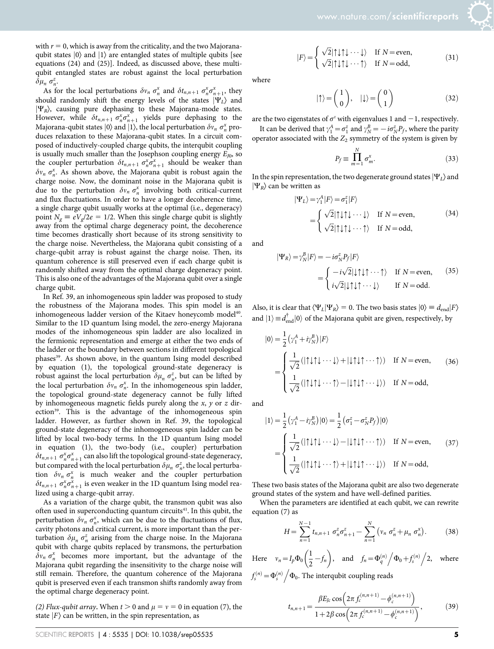$(31)$ 

with  $r = 0$ , which is away from the criticality, and the two Majoranaqubit states  $|0\rangle$  and  $|1\rangle$  are entangled states of multiple qubits [see equations (24) and (25)]. Indeed, as discussed above, these multiqubit entangled states are robust against the local perturbation  $\delta\mu_n \sigma_n^z$ .

As for the local perturbations  $\delta v_n \sigma_n^x$  and  $\delta t_{n,n+1} \sigma_n^x \sigma_{n+1}^x$ , they should randomly shift the energy levels of the states  $|\Psi_L\rangle$  and  $|\Psi_R\rangle$ , causing pure dephasing to these Majorana-mode states. However, while  $\delta t_{n,n+1} \sigma_n^x \sigma_{n+1}^x$  yields pure dephasing to the Majorana-qubit states  $|0\rangle$  and  $|1\rangle$ , the local perturbation  $\delta v_n \sigma_n^x$  produces relaxation to these Majorana-qubit states. In a circuit composed of inductively-coupled charge qubits, the interqubit coupling is usually much smaller than the Josephson coupling energy  $E_{I0}$ , so the coupler perturbation  $\delta t_{n,n+1} \sigma_n^x \sigma_{n+1}^x$  should be weaker than  $\delta v_n$   $\sigma_n^x$ . As shown above, the Majorana qubit is robust again the charge noise. Now, the dominant noise in the Majorana qubit is due to the perturbation  $\delta v_n \sigma_n^x$  involving both critical-current and flux fluctuations. In order to have a longer decoherence time, a single charge qubit usually works at the optimal (i.e., degeneracy) point  $N_{\alpha} \equiv eV_{\alpha}/2e = 1/2$ . When this single charge qubit is slightly away from the optimal charge degeneracy point, the decoherence time becomes drastically short because of its strong sensitivity to the charge noise. Nevertheless, the Majorana qubit consisting of a charge-qubit array is robust against the charge noise. Then, its quantum coherence is still preserved even if each charge qubit is randomly shifted away from the optimal charge degeneracy point. This is also one of the advantages of the Majorana qubit over a single charge qubit.

In Ref. 39, an inhomogeneous spin ladder was proposed to study the robustness of the Majorana modes. This spin model is an inhomogeneous ladder version of the Kitaev honeycomb model<sup>40</sup>. Similar to the 1D quantum Ising model, the zero-energy Majorana modes of the inhomogeneous spin ladder are also localized in the fermionic representation and emerge at either the two ends of the ladder or the boundary between sections in different topological phases<sup>39</sup>. As shown above, in the quantum Ising model described by equation (1), the topological ground-state degeneracy is robust against the local perturbation  $\delta \mu_n \sigma_n^z$ , but can be lifted by the local perturbation  $\delta v_n \sigma_n^x$ . In the inhomogeneous spin ladder, the topological ground-state degeneracy cannot be fully lifted by inhomogeneous magnetic fields purely along the  $x$ ,  $y$  or  $z$  direction<sup>39</sup>. This is the advantage of the inhomogeneous spin ladder. However, as further shown in Ref. 39, the topological ground-state degeneracy of the inhomogeneous spin ladder can be lifted by local two-body terms. In the 1D quantum Ising model in equation (1), the two-body (i.e., coupler) perturbation  $\delta t_{n,n+1}$   $\sigma_{n}^{x}\sigma_{n+1}^{x}$  can also lift the topological ground-state degeneracy, but compared with the local perturbation  $\delta \mu_n \sigma_n^z$ , the local perturbation  $\delta v_n \sigma_n^x$  is much weaker and the coupler perturbation  $\delta t_{n,n+1}$   $\sigma_n^x \sigma_{n+1}^x$  is even weaker in the 1D quantum Ising model realized using a charge-qubit array.

As a variation of the charge qubit, the transmon qubit was also often used in superconducting quantum circuits<sup>41</sup>. In this qubit, the perturbation  $\delta v_n \sigma_n^x$ , which can be due to the fluctuations of flux, cavity photons and critical current, is more important than the perturbation  $\delta \mu_n \sigma_n^z$  arising from the charge noise. In the Majorana qubit with charge qubits replaced by transmons, the perturbation  $\delta v_n \sigma_n^x$  becomes more important, but the advantage of the Majorana qubit regarding the insensitivity to the charge noise will still remain. Therefore, the quantum coherence of the Majorana qubit is preserved even if each transmon shifts randomly away from the optimal charge degeneracy point.

(2) Flux-qubit array. When  $t > 0$  and  $\mu = v = 0$  in equation (7), the state  $|F\rangle$  can be written, in the spin representation, as

where

 $|F\rangle =$ 

 $\epsilon$ 

$$
|\uparrow\rangle = \begin{pmatrix} 1 \\ 0 \end{pmatrix}, \quad |\downarrow\rangle = \begin{pmatrix} 0 \\ 1 \end{pmatrix} \tag{32}
$$

are the two eigenstates of  $\sigma^z$  with eigenvalues 1 and  $-1$ , respectively.

 $\sqrt{2}$ | $\uparrow \downarrow \uparrow \downarrow \cdots \downarrow$  If  $N =$ even,<br> $\sqrt{2}$ | $\uparrow \downarrow \uparrow \downarrow \cdots \uparrow$  If  $N =$ odd,

It can be derived that  $\gamma_1^A = \sigma_1^z$  and  $\gamma_N^B = -i\sigma_N^z P_f$ , where the parity operator associated with the  $Z_2$  symmetry of the system is given by

$$
P_f \equiv \prod_{m=1}^{N} \sigma_m^x. \tag{33}
$$

In the spin representation, the two degenerate ground states  $|\Psi_I\rangle$  and  $|\Psi_{R}\rangle$  can be written as

$$
|\Psi_L\rangle = \gamma_1^A |F\rangle = \sigma_1^z |F\rangle
$$
  
= 
$$
\begin{cases} \sqrt{2} |\uparrow \downarrow \uparrow \cdots \downarrow \rangle & \text{If } N = \text{even}, \\ \sqrt{2} |\uparrow \downarrow \uparrow \downarrow \cdots \uparrow \rangle & \text{If } N = \text{odd}, \end{cases}
$$
 (34)

and

$$
|\Psi_R\rangle = \gamma_N^B |F\rangle = -i\sigma_N^z P_f |F\rangle
$$
  
= 
$$
\begin{cases} -i\sqrt{2}|\downarrow\uparrow\downarrow\uparrow\cdots\uparrow\rangle & \text{If } N = \text{even}, \\ i\sqrt{2}|\downarrow\uparrow\downarrow\uparrow\cdots\downarrow\rangle & \text{If } N = \text{odd}. \end{cases}
$$
 (35)

Also, it is clear that  $\langle \Psi_L | \Psi_R \rangle = 0$ . The two basis states  $|0\rangle \equiv d_{\text{end}}|F\rangle$ and  $|1\rangle \equiv d_{\text{end}}^{\dagger} |0\rangle$  of the Majorana qubit are given, respectively, by

$$
|0\rangle = \frac{1}{2} \left( \gamma_1^A + i \gamma_N^B \right) |F\rangle
$$
  
= 
$$
\begin{cases} \frac{1}{\sqrt{2}} (|\uparrow \downarrow \uparrow \downarrow \cdots \downarrow \rangle + |\downarrow \uparrow \downarrow \uparrow \cdots \uparrow \rangle) & \text{If } N = \text{even}, \\ \frac{1}{\sqrt{2}} (|\uparrow \downarrow \uparrow \downarrow \cdots \uparrow \rangle - |\downarrow \uparrow \downarrow \uparrow \cdots \downarrow \rangle) & \text{If } N = \text{odd}, \end{cases}
$$
(36)

and

$$
|1\rangle = \frac{1}{2} \left( \gamma_1^A - i \gamma_N^B \right) |0\rangle = \frac{1}{2} \left( \sigma_1^z - \sigma_N^z P_f \right) |0\rangle
$$
  
= 
$$
\begin{cases} \frac{1}{\sqrt{2}} (|\uparrow \downarrow \uparrow \downarrow \cdots \downarrow \rangle - |\downarrow \uparrow \downarrow \uparrow \cdots \uparrow \rangle) & \text{If } N = \text{even}, \\ \frac{1}{\sqrt{2}} (|\uparrow \downarrow \uparrow \downarrow \cdots \uparrow \rangle + |\downarrow \uparrow \downarrow \uparrow \cdots \downarrow \rangle) & \text{If } N = \text{odd}, \end{cases}
$$
(37)

These two basis states of the Majorana qubit are also two degenerate ground states of the system and have well-defined parities.

When the parameters are identified at each qubit, we can rewrite equation (7) as

$$
H = \sum_{n=1}^{N-1} t_{n,n+1} \sigma_n^z \sigma_{n+1}^z - \sum_{n=1}^N \left( v_n \sigma_n^z + \mu_n \sigma_n^x \right). \tag{38}
$$

Here  $v_n = I_p \Phi_0 \left( \frac{1}{2} \right)$  $\frac{1}{2} - f_n$  $(1)$ , and  $f_n = \Phi_q^{(n)}$  $\sqrt{\Phi_0 + f_s^{(n)}}$ . 2, where  $f_s^{(n)} = \Phi_s^{(n)}$ .  $\Phi_0$ . The interqubit coupling reads

$$
t_{n,n+1} = \frac{\beta E_{Jc} \cos\left(2\pi f_c^{(n,n+1)} - \phi_c^{(n,n+1)}\right)}{1 + 2\beta \cos\left(2\pi f_c^{(n,n+1)} - \phi_c^{(n,n+1)}\right)},
$$
(39)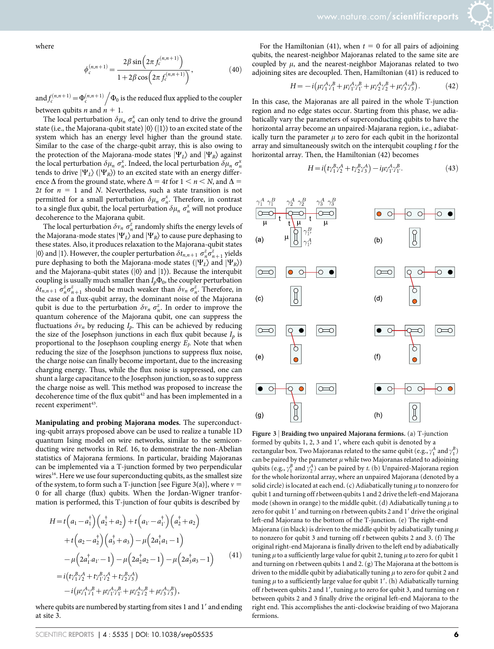where

$$
\phi_c^{(n,n+1)} = \frac{2\beta \sin\left(2\pi f_c^{(n,n+1)}\right)}{1 + 2\beta \cos\left(2\pi f_c^{(n,n+1)}\right)},\tag{40}
$$

and  $f_c^{(n,n+1)} = \Phi_c^{(n,n+1)}$  $\Phi_0$  is the reduced flux applied to the coupler between qubits *n* and  $n + 1$ .

The local perturbation  $\delta \mu_n \sigma_n^x$  can only tend to drive the ground state (i.e., the Majorana-qubit state)  $|0\rangle$  ( $|1\rangle$ ) to an excited state of the system which has an energy level higher than the ground state. Similar to the case of the charge-qubit array, this is also owing to the protection of the Majorana-mode states  $|\Psi_L\rangle$  and  $|\Psi_R\rangle$  against the local perturbation  $\delta \mu_n \sigma_n^x$ . Indeed, the local perturbation  $\delta \mu_n \sigma_n^x$ tends to drive  $|\Psi_L\rangle$  ( $|\Psi_R\rangle$ ) to an excited state with an energy difference  $\Delta$  from the ground state, where  $\Delta = 4t$  for  $1 \le n \le N$ , and  $\Delta =$ 2t for  $n = 1$  and N. Nevertheless, such a state transition is not permitted for a small perturbation  $\delta \mu_n \sigma_n^x$ . Therefore, in contrast to a single flux qubit, the local perturbation  $\delta \mu_n \sigma_n^x$  will not produce decoherence to the Majorana qubit.

The local perturbation  $\delta v_n \sigma_n^z$  randomly shifts the energy levels of the Majorana-mode states  $|\Psi_L\rangle$  and  $|\Psi_R\rangle$  to cause pure dephasing to these states. Also, it produces relaxation to the Majorana-qubit states |0\, and |1\. However, the coupler perturbation  $\delta t_{n,n+1} \sigma_n^z \sigma_{n+1}^z$  yields pure dephasing to both the Majorana-mode states ( $|\Psi_L\rangle$  and  $|\Psi_R\rangle$ ) and the Majorana-qubit states ( $|0\rangle$  and  $|1\rangle$ ). Because the interqubit coupling is usually much smaller than  $I_p\Phi_0$ , the coupler perturbation  $\delta t_{n,n+1}$   $\sigma_n^z \sigma_{n+1}^z$  should be much weaker than  $\delta v_n$   $\sigma_n^z$ . Therefore, in the case of a flux-qubit array, the dominant noise of the Majorana qubit is due to the perturbation  $\delta v_n \sigma_n^z$ . In order to improve the quantum coherence of the Majorana qubit, one can suppress the fluctuations  $\delta v_n$  by reducing  $I_p$ . This can be achieved by reducing the size of the Josephson junctions in each flux qubit because  $I_p$  is proportional to the Josephson coupling energy  $E_I$ . Note that when reducing the size of the Josephson junctions to suppress flux noise, the charge noise can finally become important, due to the increasing charging energy. Thus, while the flux noise is suppressed, one can shunt a large capacitance to the Josephson junction, so as to suppress the charge noise as well. This method was proposed to increase the decoherence time of the flux qubit<sup>42</sup> and has been implemented in a recent experiment<sup>43</sup>.

Manipulating and probing Majorana modes. The superconducting-qubit arrays proposed above can be used to realize a tunable 1D quantum Ising model on wire networks, similar to the semiconducting wire networks in Ref. 16, to demonstrate the non-Abelian statistics of Majorana fermions. In particular, braiding Majoranas can be implemented via a T-junction formed by two perpendicular wires<sup>16</sup>. Here we use four superconducting qubits, as the smallest size of the system, to form such a T-junction [see Figure 3(a)], where  $v =$ 0 for all charge (flux) qubits. When the Jordan-Wigner tranformation is performed, this T-junction of four qubits is described by

$$
H = t\left(a_1 - a_1^{\dagger}\right)\left(a_2^{\dagger} + a_2\right) + t\left(a_1 - a_1^{\dagger}\right)\left(a_2^{\dagger} + a_2\right) + t\left(a_2 - a_2^{\dagger}\right)\left(a_3^{\dagger} + a_3\right) - \mu\left(2a_1^{\dagger}a_1 - 1\right) - \mu\left(2a_1^{\dagger}a_1 - 1\right) - \mu\left(2a_2^{\dagger}a_2 - 1\right) - \mu\left(2a_3^{\dagger}a_3 - 1\right)
$$
\n(41)  
=  $i\left(t\gamma_1^B\gamma_2^A + t\gamma_1^B\gamma_2^A + t\gamma_2^B\gamma_3^A\right)$   
-  $i\left(\mu\gamma_1^A\gamma_1^B + \mu\gamma_1^A\gamma_1^B + \mu\gamma_2^A\gamma_2^B + \mu\gamma_3^A\gamma_3^B\right),$ 

where qubits are numbered by starting from sites 1 and 1' and ending at site 3.

For the Hamiltonian (41), when  $t = 0$  for all pairs of adjoining qubits, the nearest-neighbor Majoranas related to the same site are coupled by  $\mu$ , and the nearest-neighbor Majoranas related to two adjoining sites are decoupled. Then, Hamiltonian (41) is reduced to

$$
H = -i(\mu \gamma_1^A \gamma_1^B + \mu \gamma_1^A \gamma_1^B + \mu \gamma_2^A \gamma_2^B + \mu \gamma_3^A \gamma_3^B). \tag{42}
$$

In this case, the Majoranas are all paired in the whole T-junction region and no edge states occur. Starting from this phase, we adiabatically vary the parameters of superconducting qubits to have the horizontal array become an unpaired-Majarana region, i.e., adiabatically turn the parameter  $\mu$  to zero for each qubit in the horizontal array and simultaneously switch on the interqubit coupling t for the horizontal array. Then, the Hamiltonian (42) becomes

$$
H = i \left( t \gamma_1^B \gamma_2^A + t \gamma_2^B \gamma_3^A \right) - i \mu \gamma_1^A \gamma_1^B. \tag{43}
$$



Figure 3 <sup>|</sup> Braiding two unpaired Majorana fermions. (a) T-junction formed by qubits  $1, 2, 3$  and  $1'$ , where each qubit is denoted by a rectangular box. Two Majoranas related to the same qubit (e.g.,  $\gamma_1^A$  and  $\gamma_1^B$ ) can be paired by the parameter  $\mu$  while two Majoranas related to adjoining qubits (e.g.,  $\gamma_1^B$  and  $\gamma_2^A$ ) can be paired by t. (b) Unpaired-Majorana region for the whole horizontal array, where an unpaired Majorana (denoted by a solid circle) is located at each end. (c) Adiabatically tuning  $\mu$  to nonzero for qubit 1 and turning off t between qubits 1 and 2 drive the left-end Majorana mode (shown in orange) to the middle qubit. (d) Adiabatically tuning  $\mu$  to zero for qubit 1' and turning on t between qubits 2 and 1' drive the original left-end Majorana to the bottom of the T-junction. (e) The right-end Majorana (in black) is driven to the middle qubit by adiabatically tuning  $\mu$ to nonzero for qubit 3 and turning off t between qubits 2 and 3. (f) The original right-end Majorana is finally driven to the left end by adiabatically tuning  $\mu$  to a sufficiently large value for qubit 2, tuning  $\mu$  to zero for qubit 1 and turning on t between qubits 1 and 2. (g) The Majorana at the bottom is driven to the middle qubit by adiabatically tuning  $\mu$  to zero for qubit 2 and tuning  $\mu$  to a sufficiently large value for qubit 1'. (h) Adiabatically turning off t between qubits 2 and 1', tuning  $\mu$  to zero for qubit 3, and turning on t between qubits 2 and 3 finally drive the original left-end Majorana to the right end. This accomplishes the anti-clockwise braiding of two Majorana fermions.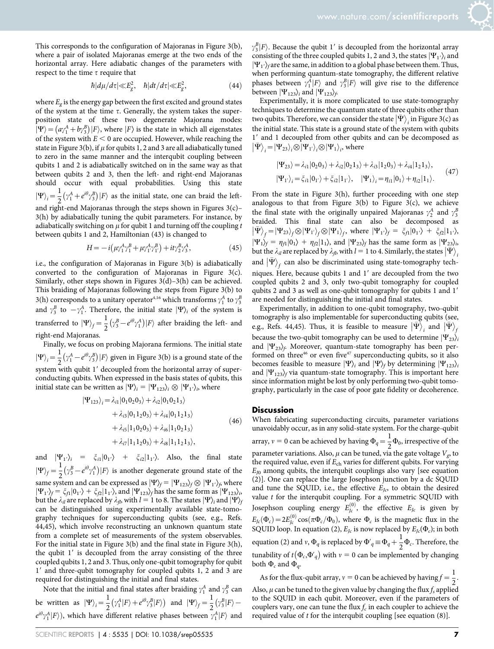This corresponds to the configuration of Majoranas in Figure 3(b), where a pair of isolated Majoranas emerge at the two ends of the horizontal array. Here adiabatic changes of the parameters with respect to the time  $\tau$  require that

$$
\hbar |d\mu/d\tau| \ll E_g^2, \quad \hbar |dt/d\tau| \ll E_g^2,
$$
\n(44)

where  $E_g$  is the energy gap between the first excited and ground states of the system at the time  $\tau$ . Generally, the system takes the superposition state of these two degenerate Majorana modes: Formal data of the agencies in approach inspective  $\ket{\Psi} = (a\gamma_1^A + b\gamma_3^B)|F\rangle$ , where  $|F\rangle$  is the state in which all eigenstates of the system with  $E < 0$  are occupied. However, while reaching the state in Figure 3(b), if  $\mu$  for qubits 1, 2 and 3 are all adiabatically tuned to zero in the same manner and the interqubit coupling between qubits 1 and 2 is adiabatically switched on in the same way as that between qubits 2 and 3, then the left- and right-end Majoranas should occur with equal probabilities. Using this state  $|\Psi\rangle_i = \frac{1}{2} (\gamma_1^A + e^{i\theta} \gamma_3^B) |F\rangle$  as the initial state, one can braid the leftand right-end Majoranas through the steps shown in Figures 3(c)– 3(h) by adiabatically tuning the qubit parameters. For instance, by adiabatically switching on  $\mu$  for qubit 1 and turning off the coupling t between qubits 1 and 2, Hamiltonian (43) is changed to

$$
H = -i(\mu \gamma_1^A \gamma_1^B + \mu \gamma_1^A \gamma_1^B) + it\gamma_2^B \gamma_3^A, \tag{45}
$$

i.e., the configuration of Majoranas in Figure 3(b) is adiabatically converted to the configuration of Majoranas in Figure 3(c). Similarly, other steps shown in Figures  $3(d)-3(h)$  can be achieved. This braiding of Majoranas following the steps from Figure 3(b) to 3(h) corresponds to a unitary operator<sup>4,16</sup> which transforms  $\gamma_1^A$  to  $\gamma_3^B$ and  $\gamma_3^B$  to  $-\gamma_1^A$ . Therefore, the initial state  $|\Psi\rangle_i$  of the system is transferred to  $|\Psi\rangle_f = \frac{1}{2} \left(\gamma_3^B - e^{i\theta} \gamma_1^A\right)|F\rangle$  after braiding the left- and right-end Majoranas.

Finally, we focus on probing Majorana fermions. The initial state  $|\Psi\rangle_i = \frac{1}{2} (\gamma_1^A - e^{i\theta} \gamma_3^B) |F\rangle$  given in Figure 3(b) is a ground state of the system with qubit 1' decoupled from the horizontal array of superconducting qubits. When expressed in the basis states of qubits, this initial state can be written as  $|\Psi\rangle_i = |\Psi_{123}\rangle_i \otimes |\Psi_{1'}\rangle_i$ , where

$$
|\Psi_{123}\rangle_i = \lambda_{i1} |0_1 0_2 0_3\rangle + \lambda_{i2} |0_1 0_2 1_3\rangle
$$
  
+  $\lambda_{i3} |0_1 1_2 0_3\rangle + \lambda_{i4} |0_1 1_2 1_3\rangle$   
+  $\lambda_{i5} |1_1 0_2 0_3\rangle + \lambda_{i6} |1_1 0_2 1_3\rangle$   
+  $\lambda_{i7} |1_1 1_2 0_3\rangle + \lambda_{i8} |1_1 1_2 1_3\rangle,$  (46)

and  $|\Psi_{1'}\rangle_i = \xi_{i1}|0_{1'}\rangle + \xi_{i2}|1_{1'}\rangle$ . Also, the final state  $|\Psi\rangle_f = \frac{1}{2} (\gamma_3^B - e^{i\theta} \gamma_1^A) |F\rangle$  is another degenerate ground state of the same system and can be expressed as  $|\Psi\rangle_f = |\Psi_{123}\rangle_f \otimes |\Psi_{1'}\rangle_f$ , where  $|\Psi_1\rangle_f = \xi_{f1}|0_1\rangle + \xi_{f2}|1_1\rangle$ , and  $|\Psi_{123}\rangle_f$  has the same form as  $|\Psi_{123}\rangle_i$ but the  $\lambda_{il}$  are replaced by  $\lambda_{fl}$ , with  $l = 1$  to 8. The states  $|\Psi\rangle_i$  and  $|\Psi\rangle_f$ can be distinguished using experimentally available state-tomography techniques for superconducting qubits (see, e.g., Refs. 44,45), which involve reconstructing an unknown quantum state from a complete set of measurements of the system observables. For the initial state in Figure 3(b) and the final state in Figure 3(h), the qubit 1' is decoupled from the array consisting of the three coupled qubits 1, 2 and 3. Thus, only one-qubit tomography for qubit 1' and three-qubit tomography for coupled qubits 1, 2 and 3 are required for distinguishing the initial and final states.

Note that the initial and final states after braiding  $\gamma_1^A$  and  $\gamma_3^B$  can be written as  $|\Psi\rangle_i = \frac{1}{2} \left( \gamma_1^A |F\rangle + e^{i\theta} \gamma_3^B |F\rangle \right)$  and  $|\Psi\rangle_f = \frac{1}{2} \left( \gamma_3^B |F\rangle - \right)$  $e^{i\theta}\gamma_1^A|F\rangle)$ , which have different relative phases between  $\gamma_1^A|F\rangle$  and  $\gamma_3^B$  |F). Because the qubit 1' is decoupled from the horizontal array consisting of the three coupled qubits 1, 2 and 3, the states  $|\Psi_1\rangle$  and  $|\Psi_1\rangle$ <sub>f</sub> are the same, in addition to a global phase between them. Thus, when performing quantum-state tomography, the different relative phases between  $\gamma_1^A |F\rangle$  and  $\gamma_3^B |F\rangle$  will give rise to the difference between  $|\Psi_{123}\rangle_i$  and  $|\Psi_{123}\rangle_f$ .

Experimentally, it is more complicated to use state-tomography techniques to determine the quantum state of three qubits other than two qubits. Therefore, we can consider the state  $|\Psi\rangle_i$  in Figure 3(c) as the initial state. This state is a ground state of the system with qubits 1' and 1 decoupled from other qubits and can be decomposed as  $|\bar{\Psi}\rangle_i = |\Psi_{23}\rangle_i \otimes |\Psi_1\rangle_i \otimes |\Psi_1\rangle_i$ , where

$$
|\Psi_{23}\rangle = \lambda_{i1} |0_2 0_3\rangle + \lambda_{i2} |0_2 1_3\rangle + \lambda_{i3} |1_2 0_3\rangle + \lambda_{i4} |1_2 1_3\rangle,
$$
  

$$
|\Psi_{1'}\rangle_i = \xi_{i1} |0_{1'}\rangle + \xi_{i2} |1_{1'}\rangle, \quad |\Psi_1\rangle_i = \eta_{i1} |0_1\rangle + \eta_{i2} |1_1\rangle.
$$
 (47)

From the state in Figure 3(h), further proceeding with one step analogous to that from Figure  $3(b)$  to Figure  $3(c)$ , we achieve the final state with the originally unpaired Majoranas  $\gamma_2^A$  and  $\gamma_3^B$ braided. This final state can also be decomposed as  $\left|\bar{\Psi}\right\rangle_f = \left|\Psi_{23}\right\rangle_f \otimes \left|\Psi_{1'}\right\rangle_f \otimes \left|\Psi_{1}\right\rangle_f$ , where  $\left|\Psi_{1'}\right\rangle_f = \xi_{fi} |0_1\rangle + \xi_{fi} |1_1\rangle$ ,  $|\Psi_1\rangle_f = \eta_{f1} |0_1\rangle + \eta_{f2} |1_1\rangle$ , and  $|\Psi_{23}\rangle_f$  has the same form as  $|\Psi_{23}\rangle_b$ but the  $\lambda_{il}$  are replaced by  $\lambda_{fb}$  with  $l = 1$  to 4. Similarly, the states  $|\Psi\rangle$ and  $|\bar{\Psi}\rangle_f$  can also be discriminated using state-tomography techniques. Here, because qubits 1 and 1' are decoupled from the two coupled qubits 2 and 3, only two-qubit tomography for coupled qubits 2 and 3 as well as one-qubit tomography for qubits 1 and 1' are needed for distinguishing the initial and final states.

Experimentally, in addition to one-qubit tomography, two-qubit tomography is also implementable for superconducting qubits (see, e.g., Refs. 44,45). Thus, it is feasible to measure  $|\Psi\rangle_i$  and  $|\Psi\rangle_j$ because the two-qubit tomography can be used to determine  $|\Psi_{23}\rangle_i$ and  $|\Psi_{23}\rangle_f$ . Moreover, quantum-state tomography has been performed on three<sup>46</sup> or even five<sup>47</sup> superconducting qubits, so it also becomes feasible to measure  $|\Psi\rangle$ <sub>i</sub> and  $|\Psi\rangle$ <sub>f</sub> by determining  $|\Psi_{123}\rangle$ <sub>i</sub> and  $|\Psi_{123}\rangle_f$  via quantum-state tomography. This is important here since information might be lost by only performing two-qubit tomography, particularly in the case of poor gate fidelity or decoherence.

#### **Discussion**

When fabricating superconducting circuits, parameter variations unavoidably occur, as in any solid-state system. For the charge-qubit array,  $v = 0$  can be achieved by having  $\Phi_q = \frac{1}{2} \Phi_0$ , irrespective of the parameter variations. Also,  $\mu$  can be tuned, via the gate voltage  $V_g$  to the required value, even if  $E_{ch}$  varies for different qubits. For varying  $E_{I0}$  among qubits, the interqubit couplings also vary [see equation (2)]. One can replace the large Josephson junction by a dc SQUID and tune the SQUID, i.e., the effective  $E_{Ic}$ , to obtain the desired value  $t$  for the interqubit coupling. For a symmetric SQUID with Josephson coupling energy  $E_{Jc}^{(0)}$ , the effective  $E_{Jc}$  is given by  $E_{Jc}(\Phi_c) = 2E_{Jc}^{(0)} \cos(\pi \Phi_c / \Phi_0)$ , where  $\Phi_c$  is the magnetic flux in the SQUID loop. In equation (2),  $E_{Jc}$  is now replaced by  $E_{Jc}(\Phi_c)$ ; in both equation (2) and v,  $\Phi_q$  is replaced by  $\Phi'_q \equiv \Phi_q + \frac{1}{2}$  $\frac{1}{2}\Phi_c$ . Therefore, the tunability of  $t(\Phi_c, \Phi'_q)$  with  $v = 0$  can be implemented by changing both  $\Phi_c$  and  $\Phi_q$ .

As for the flux-qubit array,  $v = 0$  can be achieved by having  $f = \frac{1}{2}$ . Also,  $\mu$  can be tuned to the given value by changing the flux  $f_s$  applied to the SQUID in each qubit. Moreover, even if the parameters of couplers vary, one can tune the flux  $f_c$  in each coupler to achieve the required value of t for the interqubit coupling [see equation (8)].